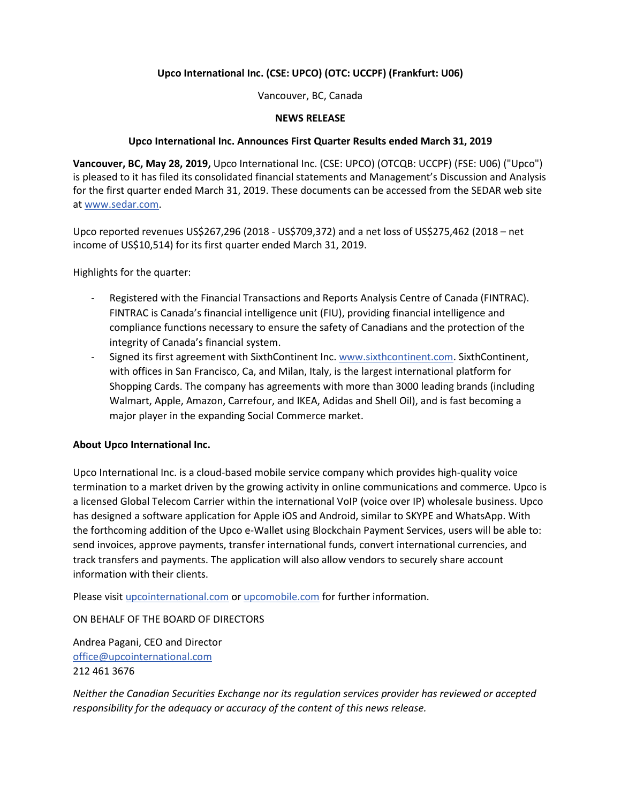# **Upco International Inc. (CSE: UPCO) (OTC: UCCPF) (Frankfurt: U06)**

Vancouver, BC, Canada

### **NEWS RELEASE**

### **Upco International Inc. Announces First Quarter Results ended March 31, 2019**

**Vancouver, BC, May 28, 2019,** Upco International Inc. (CSE: UPCO) (OTCQB: UCCPF) (FSE: U06) ("Upco") is pleased to it has filed its consolidated financial statements and Management's Discussion and Analysis for the first quarter ended March 31, 2019. These documents can be accessed from the SEDAR web site at [www.sedar.com.](http://www.sedar.com/)

Upco reported revenues US\$267,296 (2018 - US\$709,372) and a net loss of US\$275,462 (2018 – net income of US\$10,514) for its first quarter ended March 31, 2019.

Highlights for the quarter:

- Registered with the Financial Transactions and Reports Analysis Centre of Canada (FINTRAC). FINTRAC is Canada's financial intelligence unit (FIU), providing financial intelligence and compliance functions necessary to ensure the safety of Canadians and the protection of the integrity of Canada's financial system.
- Signed its first agreement with SixthContinent Inc. [www.sixthcontinent.com.](http://www.sixthcontinent.com/) SixthContinent, with offices in San Francisco, Ca, and Milan, Italy, is the largest international platform for Shopping Cards. The company has agreements with more than 3000 leading brands (including Walmart, Apple, Amazon, Carrefour, and IKEA, Adidas and Shell Oil), and is fast becoming a major player in the expanding Social Commerce market.

## **About Upco International Inc.**

Upco International Inc. is a cloud-based mobile service company which provides high-quality voice termination to a market driven by the growing activity in online communications and commerce. Upco is a licensed Global Telecom Carrier within the international VoIP (voice over IP) wholesale business. Upco has designed a software application for Apple iOS and Android, similar to SKYPE and WhatsApp. With the forthcoming addition of the Upco e-Wallet using Blockchain Payment Services, users will be able to: send invoices, approve payments, transfer international funds, convert international currencies, and track transfers and payments. The application will also allow vendors to securely share account information with their clients.

Please visi[t upcointernational.com](http://upcointernational.com/) or [upcomobile.com](http://upcomobile.com/) for further information.

ON BEHALF OF THE BOARD OF DIRECTORS

Andrea Pagani, CEO and Director [office@upcointernational.com](mailto:office@upcointernational.com) 212 461 3676

*Neither the Canadian Securities Exchange nor its regulation services provider has reviewed or accepted responsibility for the adequacy or accuracy of the content of this news release.*